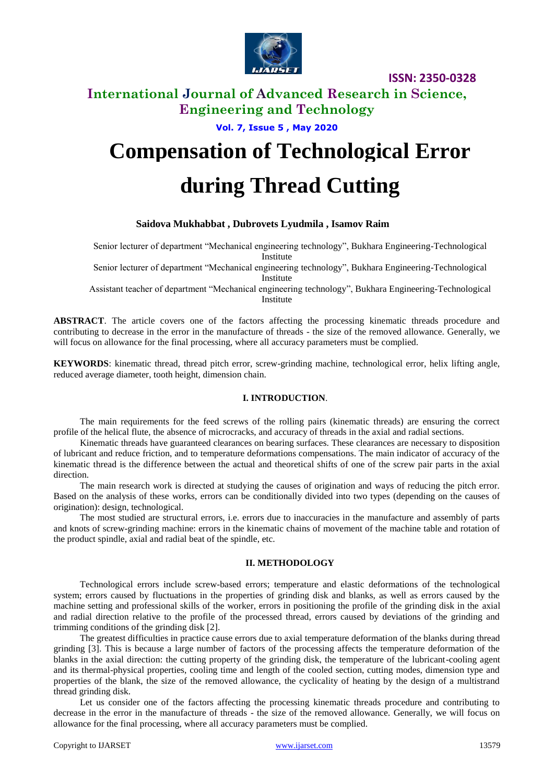

## **International Journal of Advanced Research in Science, Engineering and Technology**

**Vol. 7, Issue 5 , May 2020**

# **Compensation of Technological Error during Thread Cutting**

### **Saidova Mukhabbat , Dubrovets Lyudmila , Isamov Raim**

Senior lecturer of department "Mechanical engineering technology", Bukhara Engineering-Technological Institute

Senior lecturer of department "Mechanical engineering technology", Bukhara Engineering-Technological Institute

Assistant teacher of department "Mechanical engineering technology", Bukhara Engineering-Technological Institute

**ABSTRACT**. The article covers one of the factors affecting the processing kinematic threads procedure and contributing to decrease in the error in the manufacture of threads - the size of the removed allowance. Generally, we will focus on allowance for the final processing, where all accuracy parameters must be complied.

**KEYWORDS**: kinematic thread, thread pitch error, screw-grinding machine, technological error, helix lifting angle, reduced average diameter, tooth height, dimension chain.

#### **I. INTRODUCTION**.

The main requirements for the feed screws of the rolling pairs (kinematic threads) are ensuring the correct profile of the helical flute, the absence of microcracks, and accuracy of threads in the axial and radial sections.

Kinematic threads have guaranteed clearances on bearing surfaces. These clearances are necessary to disposition of lubricant and reduce friction, and to temperature deformations compensations. The main indicator of accuracy of the kinematic thread is the difference between the actual and theoretical shifts of one of the screw pair parts in the axial direction.

The main research work is directed at studying the causes of origination and ways of reducing the pitch error. Based on the analysis of these works, errors can be conditionally divided into two types (depending on the causes of origination): design, technological.

The most studied are structural errors, i.e. errors due to inaccuracies in the manufacture and assembly of parts and knots of screw-grinding machine: errors in the kinematic chains of movement of the machine table and rotation of the product spindle, axial and radial beat of the spindle, etc.

#### **II. METHODOLOGY**

Technological errors include screw-based errors; temperature and elastic deformations of the technological system; errors caused by fluctuations in the properties of grinding disk and blanks, as well as errors caused by the machine setting and professional skills of the worker, errors in positioning the profile of the grinding disk in the axial and radial direction relative to the profile of the processed thread, errors caused by deviations of the grinding and trimming conditions of the grinding disk [2].

The greatest difficulties in practice cause errors due to axial temperature deformation of the blanks during thread grinding [3]. This is because a large number of factors of the processing affects the temperature deformation of the blanks in the axial direction: the cutting property of the grinding disk, the temperature of the lubricant-cooling agent and its thermal-physical properties, cooling time and length of the cooled section, cutting modes, dimension type and properties of the blank, the size of the removed allowance, the cyclicality of heating by the design of a multistrand thread grinding disk.

Let us consider one of the factors affecting the processing kinematic threads procedure and contributing to decrease in the error in the manufacture of threads - the size of the removed allowance. Generally, we will focus on allowance for the final processing, where all accuracy parameters must be complied.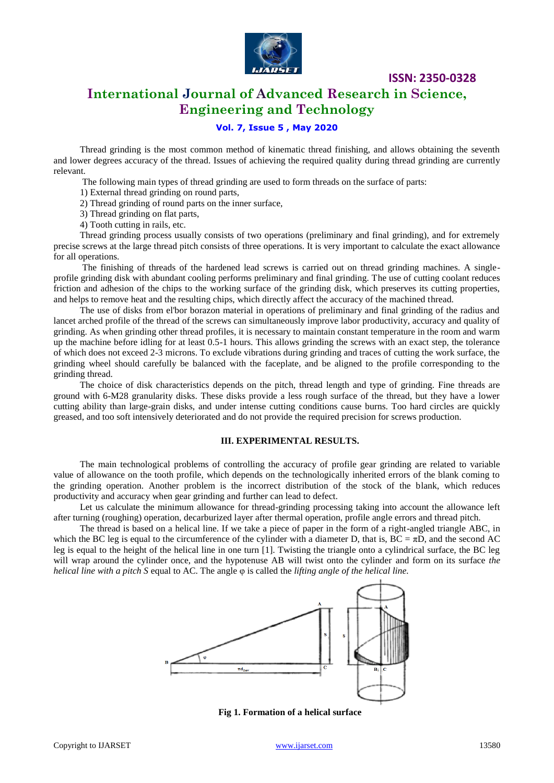

# **International Journal of Advanced Research in Science, Engineering and Technology**

### **Vol. 7, Issue 5 , May 2020**

Thread grinding is the most common method of kinematic thread finishing, and allows obtaining the seventh and lower degrees accuracy of the thread. Issues of achieving the required quality during thread grinding are currently relevant.

The following main types of thread grinding are used to form threads on the surface of parts:

1) External thread grinding on round parts,

2) Thread grinding of round parts on the inner surface,

3) Thread grinding on flat parts,

4) Tooth cutting in rails, etc.

Thread grinding process usually consists of two operations (preliminary and final grinding), and for extremely precise screws at the large thread pitch consists of three operations. It is very important to calculate the exact allowance for all operations.

The finishing of threads of the hardened lead screws is carried out on thread grinding machines. A singleprofile grinding disk with abundant cooling performs preliminary and final grinding. The use of cutting coolant reduces friction and adhesion of the chips to the working surface of the grinding disk, which preserves its cutting properties, and helps to remove heat and the resulting chips, which directly affect the accuracy of the machined thread.

The use of disks from el'bor borazon material in operations of preliminary and final grinding of the radius and lancet arched profile of the thread of the screws can simultaneously improve labor productivity, accuracy and quality of grinding. As when grinding other thread profiles, it is necessary to maintain constant temperature in the room and warm up the machine before idling for at least 0.5-1 hours. This allows grinding the screws with an exact step, the tolerance of which does not exceed 2-3 microns. To exclude vibrations during grinding and traces of cutting the work surface, the grinding wheel should carefully be balanced with the faceplate, and be aligned to the profile corresponding to the grinding thread.

The choice of disk characteristics depends on the pitch, thread length and type of grinding. Fine threads are ground with 6-M28 granularity disks. These disks provide a less rough surface of the thread, but they have a lower cutting ability than large-grain disks, and under intense cutting conditions cause burns. Too hard circles are quickly greased, and too soft intensively deteriorated and do not provide the required precision for screws production.

#### **III. EXPERIMENTAL RESULTS.**

The main technological problems of controlling the accuracy of profile gear grinding are related to variable value of allowance on the tooth profile, which depends on the technologically inherited errors of the blank coming to the grinding operation. Another problem is the incorrect distribution of the stock of the blank, which reduces productivity and accuracy when gear grinding and further can lead to defect.

Let us calculate the minimum allowance for thread-grinding processing taking into account the allowance left after turning (roughing) operation, decarburized layer after thermal operation, profile angle errors and thread pitch.

The thread is based on a helical line. If we take a piece of paper in the form of a right-angled triangle ABC, in which the BC leg is equal to the circumference of the cylinder with a diameter D, that is,  $BC = \pi D$ , and the second AC leg is equal to the height of the helical line in one turn [1]. Twisting the triangle onto a cylindrical surface, the BC leg will wrap around the cylinder once, and the hypotenuse AB will twist onto the cylinder and form on its surface *the helical line with a pitch S* equal to AC. The angle φ is called the *lifting angle of the helical line.*



**Fig 1. Formation of a helical surface**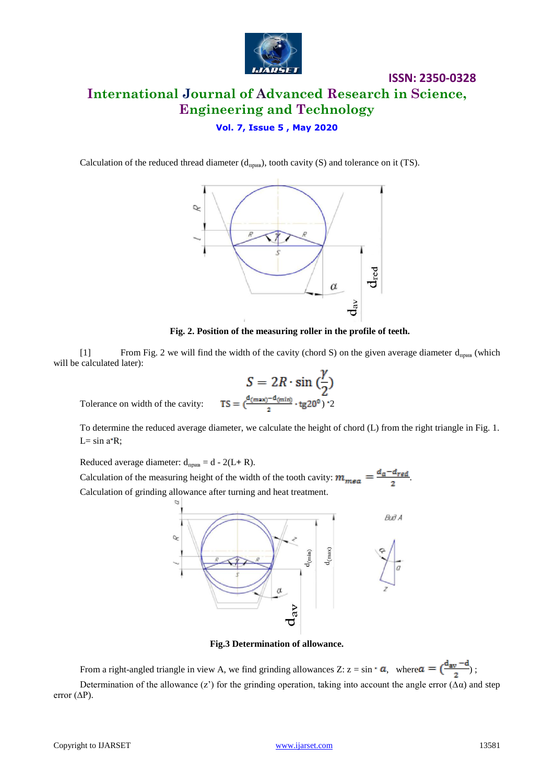

# **ISSN: 2350-0328 International Journal of Advanced Research in Science, Engineering and Technology**

### **Vol. 7, Issue 5 , May 2020**

Calculation of the reduced thread diameter  $(d_{npHB})$ , tooth cavity (S) and tolerance on it (TS).



**Fig. 2. Position of the measuring roller in the profile of teeth.**

[1] From Fig. 2 we will find the width of the cavity (chord S) on the given average diameter  $d_{np}_{HB}$  (which will be calculated later):

$$
S = 2R \cdot \sin\left(\frac{\gamma}{2}\right)
$$

$$
= \frac{d_{\text{(max)}} - d_{\text{(min)}}}{2} \cdot \text{tg20}^{\circ}\right) \cdot 2
$$

Tolerance on width of the cavity:  $TS =$ 

To determine the reduced average diameter, we calculate the height of chord (L) from the right triangle in Fig. 1. L=  $sin a$ <sup>-</sup>R;

Reduced average diameter:  $d_{npBB} = d - 2(L + R)$ . Calculation of the measuring height of the width of the tooth cavity:  $m_{mea} = \frac{d_a - d_{red}}{2}$ . Calculation of grinding allowance after turning and heat treatment.



**Fig.3 Determination of allowance.**

From a right-angled triangle in view A, we find grinding allowances Z:  $z = \sin \theta$ , where  $\alpha = \left(\frac{d_{av} - d}{2}\right)$ ; Determination of the allowance (z') for the grinding operation, taking into account the angle error ( $\Delta \alpha$ ) and step error (∆Р).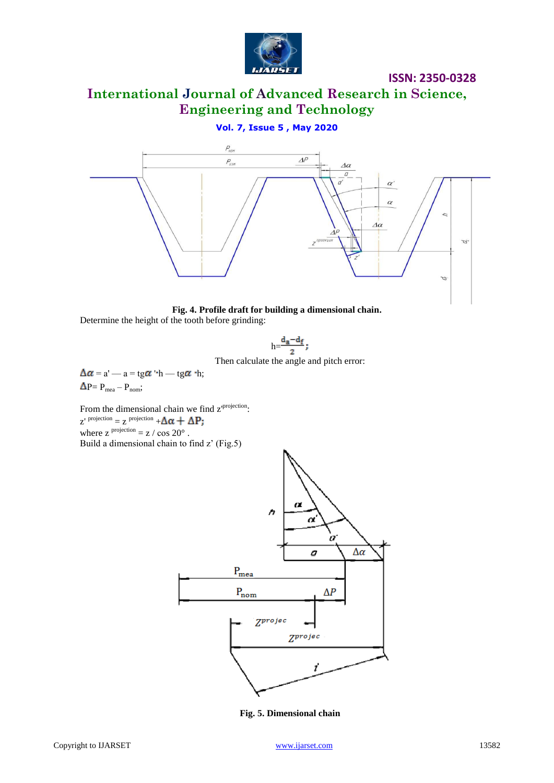

# **International Journal of Advanced Research in Science, Engineering and Technology**

### **Vol. 7, Issue 5 , May 2020**





$$
h\!\!=\!\!\frac{d_a\!-\!d_f}{2};
$$

Then calculate the angle and pitch error:

 $\Delta \alpha = a'$  —  $a = \text{tg} \alpha \cdot h$  — tg $\alpha \cdot h$ ;  $\Delta P = P_{\text{mea}} - P_{\text{nom}};$ 

From the dimensional chain we find  $z^{projection}$ :  $z'$ <sup>projection</sup> =  $z$ <sup>projection</sup> + where  $z^{projection} = z / \cos 20^{\circ}$ . Build a dimensional chain to find z' (Fig.5)



**Fig. 5. Dimensional chain**